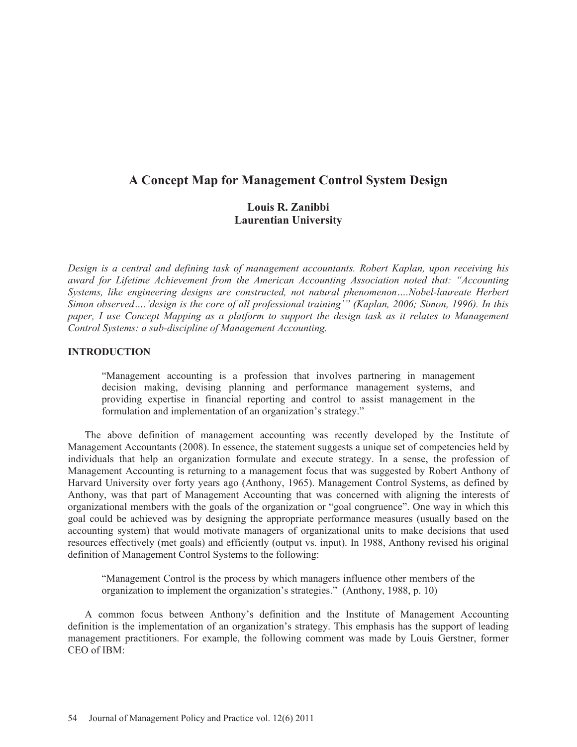# **A Concept Map for Management Control System Design**

## **Louis R. Zanibbi Laurentian University**

*Design is a central and defining task of management accountants. Robert Kaplan, upon receiving his award for Lifetime Achievement from the American Accounting Association noted that: "Accounting Systems, like engineering designs are constructed, not natural phenomenon….Nobel-laureate Herbert Simon observed….'design is the core of all professional training'" (Kaplan, 2006; Simon, 1996). In this paper, I use Concept Mapping as a platform to support the design task as it relates to Management Control Systems: a sub-discipline of Management Accounting.* 

## **INTRODUCTION**

"Management accounting is a profession that involves partnering in management decision making, devising planning and performance management systems, and providing expertise in financial reporting and control to assist management in the formulation and implementation of an organization's strategy."

The above definition of management accounting was recently developed by the Institute of Management Accountants (2008). In essence, the statement suggests a unique set of competencies held by individuals that help an organization formulate and execute strategy. In a sense, the profession of Management Accounting is returning to a management focus that was suggested by Robert Anthony of Harvard University over forty years ago (Anthony, 1965). Management Control Systems, as defined by Anthony, was that part of Management Accounting that was concerned with aligning the interests of organizational members with the goals of the organization or "goal congruence". One way in which this goal could be achieved was by designing the appropriate performance measures (usually based on the accounting system) that would motivate managers of organizational units to make decisions that used resources effectively (met goals) and efficiently (output vs. input). In 1988, Anthony revised his original definition of Management Control Systems to the following:

"Management Control is the process by which managers influence other members of the organization to implement the organization's strategies." (Anthony, 1988, p. 10)

A common focus between Anthony's definition and the Institute of Management Accounting definition is the implementation of an organization's strategy. This emphasis has the support of leading management practitioners. For example, the following comment was made by Louis Gerstner, former CEO of IBM: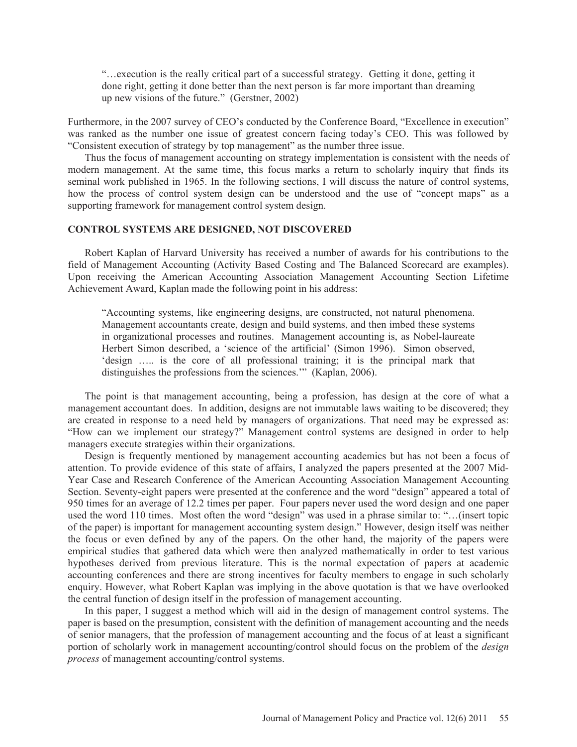"…execution is the really critical part of a successful strategy. Getting it done, getting it done right, getting it done better than the next person is far more important than dreaming up new visions of the future." (Gerstner, 2002)

Furthermore, in the 2007 survey of CEO's conducted by the Conference Board, "Excellence in execution" was ranked as the number one issue of greatest concern facing today's CEO. This was followed by "Consistent execution of strategy by top management" as the number three issue.

Thus the focus of management accounting on strategy implementation is consistent with the needs of modern management. At the same time, this focus marks a return to scholarly inquiry that finds its seminal work published in 1965. In the following sections, I will discuss the nature of control systems, how the process of control system design can be understood and the use of "concept maps" as a supporting framework for management control system design.

#### **CONTROL SYSTEMS ARE DESIGNED, NOT DISCOVERED**

Robert Kaplan of Harvard University has received a number of awards for his contributions to the field of Management Accounting (Activity Based Costing and The Balanced Scorecard are examples). Upon receiving the American Accounting Association Management Accounting Section Lifetime Achievement Award, Kaplan made the following point in his address:

"Accounting systems, like engineering designs, are constructed, not natural phenomena. Management accountants create, design and build systems, and then imbed these systems in organizational processes and routines. Management accounting is, as Nobel-laureate Herbert Simon described, a 'science of the artificial' (Simon 1996). Simon observed, 'design ….. is the core of all professional training; it is the principal mark that distinguishes the professions from the sciences.'" (Kaplan, 2006).

The point is that management accounting, being a profession, has design at the core of what a management accountant does. In addition, designs are not immutable laws waiting to be discovered; they are created in response to a need held by managers of organizations. That need may be expressed as: "How can we implement our strategy?" Management control systems are designed in order to help managers execute strategies within their organizations.

Design is frequently mentioned by management accounting academics but has not been a focus of attention. To provide evidence of this state of affairs, I analyzed the papers presented at the 2007 Mid-Year Case and Research Conference of the American Accounting Association Management Accounting Section. Seventy-eight papers were presented at the conference and the word "design" appeared a total of 950 times for an average of 12.2 times per paper. Four papers never used the word design and one paper used the word 110 times. Most often the word "design" was used in a phrase similar to: "...(insert topic of the paper) is important for management accounting system design." However, design itself was neither the focus or even defined by any of the papers. On the other hand, the majority of the papers were empirical studies that gathered data which were then analyzed mathematically in order to test various hypotheses derived from previous literature. This is the normal expectation of papers at academic accounting conferences and there are strong incentives for faculty members to engage in such scholarly enquiry. However, what Robert Kaplan was implying in the above quotation is that we have overlooked the central function of design itself in the profession of management accounting.

In this paper, I suggest a method which will aid in the design of management control systems. The paper is based on the presumption, consistent with the definition of management accounting and the needs of senior managers, that the profession of management accounting and the focus of at least a significant portion of scholarly work in management accounting/control should focus on the problem of the *design process* of management accounting/control systems.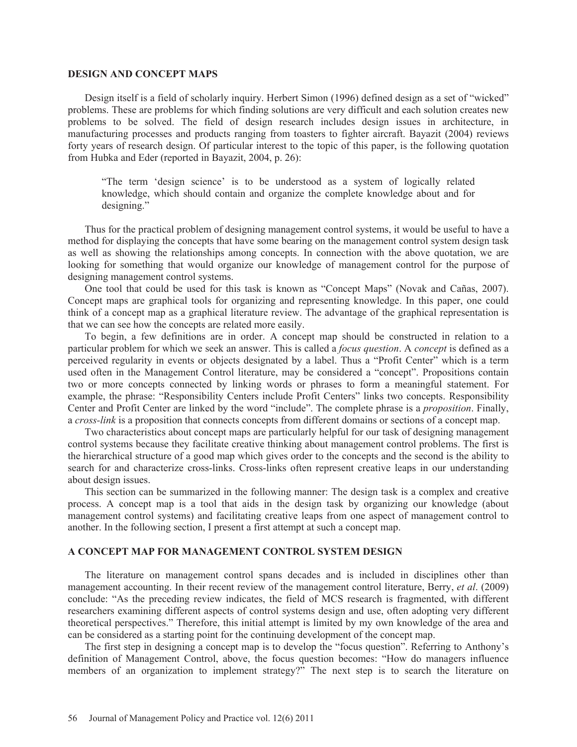#### **DESIGN AND CONCEPT MAPS**

Design itself is a field of scholarly inquiry. Herbert Simon (1996) defined design as a set of "wicked" problems. These are problems for which finding solutions are very difficult and each solution creates new problems to be solved. The field of design research includes design issues in architecture, in manufacturing processes and products ranging from toasters to fighter aircraft. Bayazit (2004) reviews forty years of research design. Of particular interest to the topic of this paper, is the following quotation from Hubka and Eder (reported in Bayazit, 2004, p. 26):

"The term 'design science' is to be understood as a system of logically related knowledge, which should contain and organize the complete knowledge about and for designing."

Thus for the practical problem of designing management control systems, it would be useful to have a method for displaying the concepts that have some bearing on the management control system design task as well as showing the relationships among concepts. In connection with the above quotation, we are looking for something that would organize our knowledge of management control for the purpose of designing management control systems.

One tool that could be used for this task is known as "Concept Maps" (Novak and Cañas, 2007). Concept maps are graphical tools for organizing and representing knowledge. In this paper, one could think of a concept map as a graphical literature review. The advantage of the graphical representation is that we can see how the concepts are related more easily.

To begin, a few definitions are in order. A concept map should be constructed in relation to a particular problem for which we seek an answer. This is called a *focus question*. A *concept* is defined as a perceived regularity in events or objects designated by a label. Thus a "Profit Center" which is a term used often in the Management Control literature, may be considered a "concept". Propositions contain two or more concepts connected by linking words or phrases to form a meaningful statement. For example, the phrase: "Responsibility Centers include Profit Centers" links two concepts. Responsibility Center and Profit Center are linked by the word "include". The complete phrase is a *proposition*. Finally, a *cross-link* is a proposition that connects concepts from different domains or sections of a concept map.

Two characteristics about concept maps are particularly helpful for our task of designing management control systems because they facilitate creative thinking about management control problems. The first is the hierarchical structure of a good map which gives order to the concepts and the second is the ability to search for and characterize cross-links. Cross-links often represent creative leaps in our understanding about design issues.

This section can be summarized in the following manner: The design task is a complex and creative process. A concept map is a tool that aids in the design task by organizing our knowledge (about management control systems) and facilitating creative leaps from one aspect of management control to another. In the following section, I present a first attempt at such a concept map.

## **A CONCEPT MAP FOR MANAGEMENT CONTROL SYSTEM DESIGN**

The literature on management control spans decades and is included in disciplines other than management accounting. In their recent review of the management control literature, Berry, *et al*. (2009) conclude: "As the preceding review indicates, the field of MCS research is fragmented, with different researchers examining different aspects of control systems design and use, often adopting very different theoretical perspectives." Therefore, this initial attempt is limited by my own knowledge of the area and can be considered as a starting point for the continuing development of the concept map.

The first step in designing a concept map is to develop the "focus question". Referring to Anthony's definition of Management Control, above, the focus question becomes: "How do managers influence members of an organization to implement strategy?" The next step is to search the literature on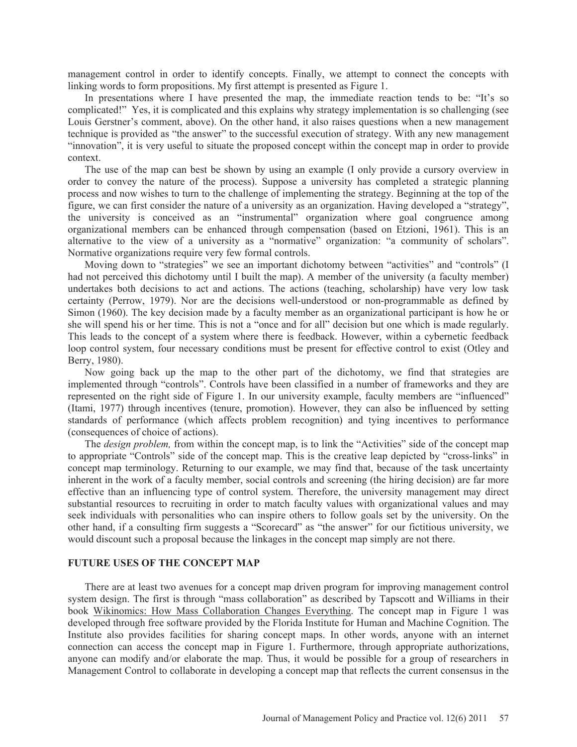management control in order to identify concepts. Finally, we attempt to connect the concepts with linking words to form propositions. My first attempt is presented as Figure 1.

In presentations where I have presented the map, the immediate reaction tends to be: "It's so complicated!" Yes, it is complicated and this explains why strategy implementation is so challenging (see Louis Gerstner's comment, above). On the other hand, it also raises questions when a new management technique is provided as "the answer" to the successful execution of strategy. With any new management "innovation", it is very useful to situate the proposed concept within the concept map in order to provide context.

The use of the map can best be shown by using an example (I only provide a cursory overview in order to convey the nature of the process). Suppose a university has completed a strategic planning process and now wishes to turn to the challenge of implementing the strategy. Beginning at the top of the figure, we can first consider the nature of a university as an organization. Having developed a "strategy", the university is conceived as an "instrumental" organization where goal congruence among organizational members can be enhanced through compensation (based on Etzioni, 1961). This is an alternative to the view of a university as a "normative" organization: "a community of scholars". Normative organizations require very few formal controls.

Moving down to "strategies" we see an important dichotomy between "activities" and "controls" (I had not perceived this dichotomy until I built the map). A member of the university (a faculty member) undertakes both decisions to act and actions. The actions (teaching, scholarship) have very low task certainty (Perrow, 1979). Nor are the decisions well-understood or non-programmable as defined by Simon (1960). The key decision made by a faculty member as an organizational participant is how he or she will spend his or her time. This is not a "once and for all" decision but one which is made regularly. This leads to the concept of a system where there is feedback. However, within a cybernetic feedback loop control system, four necessary conditions must be present for effective control to exist (Otley and Berry, 1980).

Now going back up the map to the other part of the dichotomy, we find that strategies are implemented through "controls". Controls have been classified in a number of frameworks and they are represented on the right side of Figure 1. In our university example, faculty members are "influenced" (Itami, 1977) through incentives (tenure, promotion). However, they can also be influenced by setting standards of performance (which affects problem recognition) and tying incentives to performance (consequences of choice of actions).

The *design problem,* from within the concept map, is to link the "Activities" side of the concept map to appropriate "Controls" side of the concept map. This is the creative leap depicted by "cross-links" in concept map terminology. Returning to our example, we may find that, because of the task uncertainty inherent in the work of a faculty member, social controls and screening (the hiring decision) are far more effective than an influencing type of control system. Therefore, the university management may direct substantial resources to recruiting in order to match faculty values with organizational values and may seek individuals with personalities who can inspire others to follow goals set by the university. On the other hand, if a consulting firm suggests a "Scorecard" as "the answer" for our fictitious university, we would discount such a proposal because the linkages in the concept map simply are not there.

#### **FUTURE USES OF THE CONCEPT MAP**

There are at least two avenues for a concept map driven program for improving management control system design. The first is through "mass collaboration" as described by Tapscott and Williams in their book Wikinomics: How Mass Collaboration Changes Everything. The concept map in Figure 1 was developed through free software provided by the Florida Institute for Human and Machine Cognition. The Institute also provides facilities for sharing concept maps. In other words, anyone with an internet connection can access the concept map in Figure 1. Furthermore, through appropriate authorizations, anyone can modify and/or elaborate the map. Thus, it would be possible for a group of researchers in Management Control to collaborate in developing a concept map that reflects the current consensus in the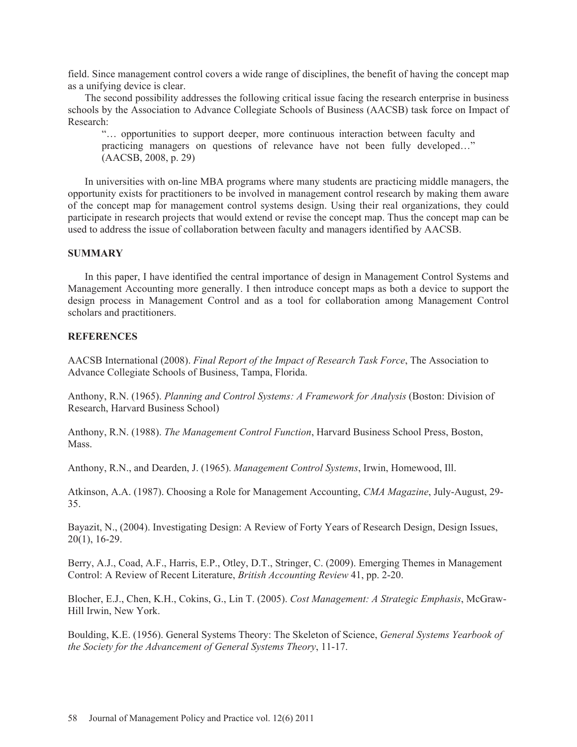field. Since management control covers a wide range of disciplines, the benefit of having the concept map as a unifying device is clear.

The second possibility addresses the following critical issue facing the research enterprise in business schools by the Association to Advance Collegiate Schools of Business (AACSB) task force on Impact of Research:

"… opportunities to support deeper, more continuous interaction between faculty and practicing managers on questions of relevance have not been fully developed…" (AACSB, 2008, p. 29)

In universities with on-line MBA programs where many students are practicing middle managers, the opportunity exists for practitioners to be involved in management control research by making them aware of the concept map for management control systems design. Using their real organizations, they could participate in research projects that would extend or revise the concept map. Thus the concept map can be used to address the issue of collaboration between faculty and managers identified by AACSB.

#### **SUMMARY**

In this paper, I have identified the central importance of design in Management Control Systems and Management Accounting more generally. I then introduce concept maps as both a device to support the design process in Management Control and as a tool for collaboration among Management Control scholars and practitioners.

### **REFERENCES**

AACSB International (2008). *Final Report of the Impact of Research Task Force*, The Association to Advance Collegiate Schools of Business, Tampa, Florida.

Anthony, R.N. (1965). *Planning and Control Systems: A Framework for Analysis* (Boston: Division of Research, Harvard Business School)

Anthony, R.N. (1988). *The Management Control Function*, Harvard Business School Press, Boston, **Mass** 

Anthony, R.N., and Dearden, J. (1965). *Management Control Systems*, Irwin, Homewood, Ill.

Atkinson, A.A. (1987). Choosing a Role for Management Accounting, *CMA Magazine*, July-August, 29- 35.

Bayazit, N., (2004). Investigating Design: A Review of Forty Years of Research Design, Design Issues, 20(1), 16-29.

Berry, A.J., Coad, A.F., Harris, E.P., Otley, D.T., Stringer, C. (2009). Emerging Themes in Management Control: A Review of Recent Literature, *British Accounting Review* 41, pp. 2-20.

Blocher, E.J., Chen, K.H., Cokins, G., Lin T. (2005). *Cost Management: A Strategic Emphasis*, McGraw-Hill Irwin, New York.

Boulding, K.E. (1956). General Systems Theory: The Skeleton of Science, *General Systems Yearbook of the Society for the Advancement of General Systems Theory*, 11-17.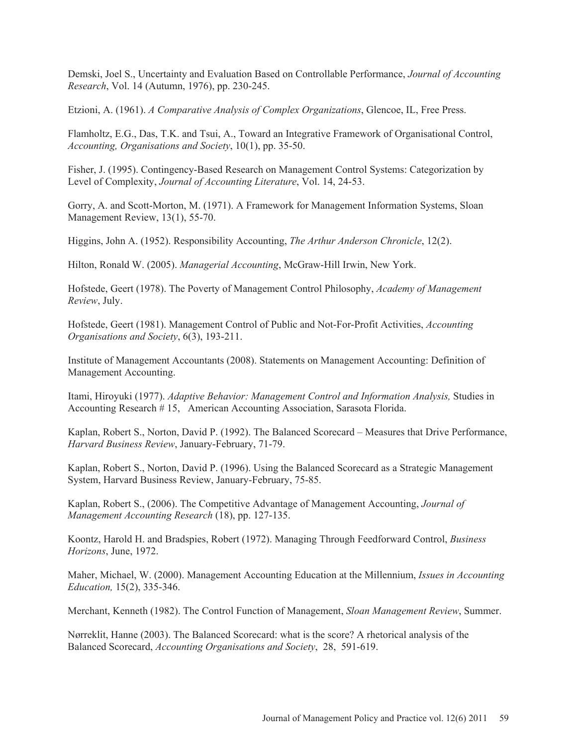Demski, Joel S., Uncertainty and Evaluation Based on Controllable Performance, *Journal of Accounting Research*, Vol. 14 (Autumn, 1976), pp. 230-245.

Etzioni, A. (1961). *A Comparative Analysis of Complex Organizations*, Glencoe, IL, Free Press.

Flamholtz, E.G., Das, T.K. and Tsui, A., Toward an Integrative Framework of Organisational Control, *Accounting, Organisations and Society*, 10(1), pp. 35-50.

Fisher, J. (1995). Contingency-Based Research on Management Control Systems: Categorization by Level of Complexity, *Journal of Accounting Literature*, Vol. 14, 24-53.

Gorry, A. and Scott-Morton, M. (1971). A Framework for Management Information Systems, Sloan Management Review, 13(1), 55-70.

Higgins, John A. (1952). Responsibility Accounting, *The Arthur Anderson Chronicle*, 12(2).

Hilton, Ronald W. (2005). *Managerial Accounting*, McGraw-Hill Irwin, New York.

Hofstede, Geert (1978). The Poverty of Management Control Philosophy, *Academy of Management Review*, July.

Hofstede, Geert (1981). Management Control of Public and Not-For-Profit Activities, *Accounting Organisations and Society*, 6(3), 193-211.

Institute of Management Accountants (2008). Statements on Management Accounting: Definition of Management Accounting.

Itami, Hiroyuki (1977). *Adaptive Behavior: Management Control and Information Analysis,* Studies in Accounting Research # 15, American Accounting Association, Sarasota Florida.

Kaplan, Robert S., Norton, David P. (1992). The Balanced Scorecard – Measures that Drive Performance, *Harvard Business Review*, January-February, 71-79.

Kaplan, Robert S., Norton, David P. (1996). Using the Balanced Scorecard as a Strategic Management System, Harvard Business Review, January-February, 75-85.

Kaplan, Robert S., (2006). The Competitive Advantage of Management Accounting, *Journal of Management Accounting Research* (18), pp. 127-135.

Koontz, Harold H. and Bradspies, Robert (1972). Managing Through Feedforward Control, *Business Horizons*, June, 1972.

Maher, Michael, W. (2000). Management Accounting Education at the Millennium, *Issues in Accounting Education,* 15(2), 335-346.

Merchant, Kenneth (1982). The Control Function of Management, *Sloan Management Review*, Summer.

Nørreklit, Hanne (2003). The Balanced Scorecard: what is the score? A rhetorical analysis of the Balanced Scorecard, *Accounting Organisations and Society*, 28, 591-619.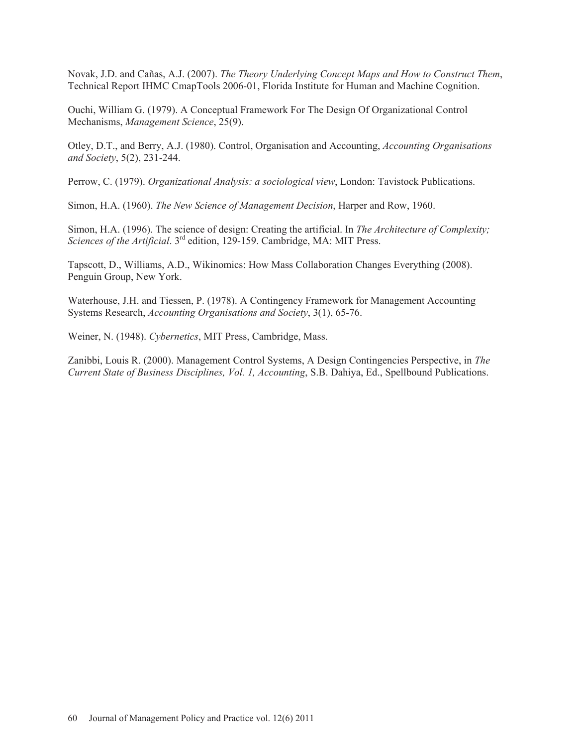Novak, J.D. and Cañas, A.J. (2007). *The Theory Underlying Concept Maps and How to Construct Them*, Technical Report IHMC CmapTools 2006-01, Florida Institute for Human and Machine Cognition.

Ouchi, William G. (1979). A Conceptual Framework For The Design Of Organizational Control Mechanisms, *Management Science*, 25(9).

Otley, D.T., and Berry, A.J. (1980). Control, Organisation and Accounting, *Accounting Organisations and Society*, 5(2), 231-244.

Perrow, C. (1979). *Organizational Analysis: a sociological view*, London: Tavistock Publications.

Simon, H.A. (1960). *The New Science of Management Decision*, Harper and Row, 1960.

Simon, H.A. (1996). The science of design: Creating the artificial. In *The Architecture of Complexity; Sciences of the Artificial*. 3rd edition, 129-159. Cambridge, MA: MIT Press.

Tapscott, D., Williams, A.D., Wikinomics: How Mass Collaboration Changes Everything (2008). Penguin Group, New York.

Waterhouse, J.H. and Tiessen, P. (1978). A Contingency Framework for Management Accounting Systems Research, *Accounting Organisations and Society*, 3(1), 65-76.

Weiner, N. (1948). *Cybernetics*, MIT Press, Cambridge, Mass.

Zanibbi, Louis R. (2000). Management Control Systems, A Design Contingencies Perspective, in *The Current State of Business Disciplines, Vol. 1, Accounting*, S.B. Dahiya, Ed., Spellbound Publications.